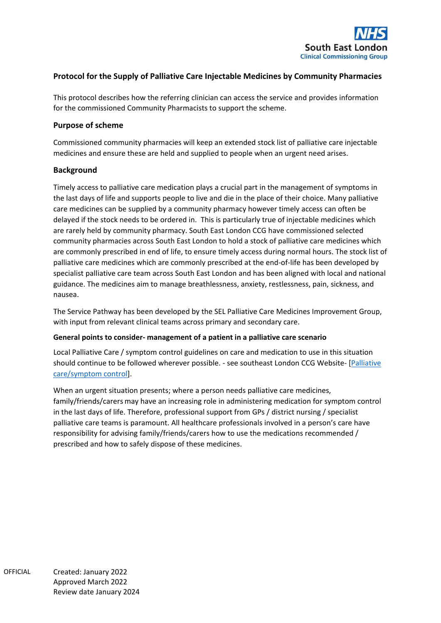

# **Protocol for the Supply of Palliative Care Injectable Medicines by Community Pharmacies**

This protocol describes how the referring clinician can access the service and provides information for the commissioned Community Pharmacists to support the scheme.

### **Purpose of scheme**

Commissioned community pharmacies will keep an extended stock list of palliative care injectable medicines and ensure these are held and supplied to people when an urgent need arises.

# **Background**

Timely access to palliative care medication plays a crucial part in the management of symptoms in the last days of life and supports people to live and die in the place of their choice. Many palliative care medicines can be supplied by a community pharmacy however timely access can often be delayed if the stock needs to be ordered in. This is particularly true of injectable medicines which are rarely held by community pharmacy. South East London CCG have commissioned selected community pharmacies across South East London to hold a stock of palliative care medicines which are commonly prescribed in end of life, to ensure timely access during normal hours. The stock list of palliative care medicines which are commonly prescribed at the end-of-life has been developed by specialist palliative care team across South East London and has been aligned with local and national guidance. The medicines aim to manage breathlessness, anxiety, restlessness, pain, sickness, and nausea.

The Service Pathway has been developed by the SEL Palliative Care Medicines Improvement Group, with input from relevant clinical teams across primary and secondary care.

### **General points to consider- management of a patient in a palliative care scenario**

Local Palliative Care / symptom control guidelines on care and medication to use in this situation should continue to be followed wherever possible. - see southeast London CCG Website- [Palliative [care/symptom control\]](https://selondonccg.nhs.uk/covid_19/palliative-care-symptom-control/).

When an urgent situation presents; where a person needs palliative care medicines, family/friends/carers may have an increasing role in administering medication for symptom control in the last days of life. Therefore, professional support from GPs / district nursing / specialist palliative care teams is paramount. All healthcare professionals involved in a person's care have responsibility for advising family/friends/carers how to use the medications recommended / prescribed and how to safely dispose of these medicines.